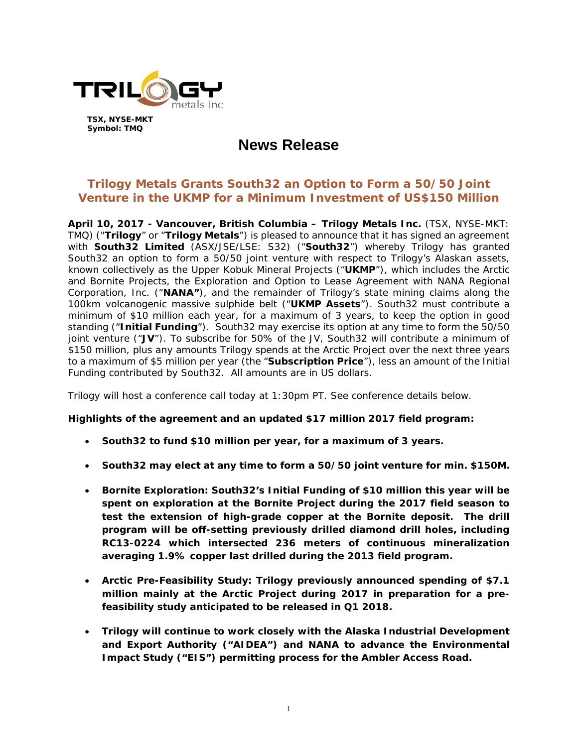

**TSX, NYSE-MKT Symbol: TMQ** 

# **News Release**

# **Trilogy Metals Grants South32 an Option to Form a 50/50 Joint Venture in the UKMP for a Minimum Investment of US\$150 Million**

**April 10, 2017 - Vancouver, British Columbia – Trilogy Metals Inc.** (TSX, NYSE-MKT: TMQ) ("**Trilogy**" or "**Trilogy Metals**") is pleased to announce that it has signed an agreement with **South32 Limited** (ASX/JSE/LSE: S32) ("**South32**") whereby Trilogy has granted South32 an option to form a 50/50 joint venture with respect to Trilogy's Alaskan assets, known collectively as the Upper Kobuk Mineral Projects ("**UKMP**"), which includes the Arctic and Bornite Projects, the Exploration and Option to Lease Agreement with NANA Regional Corporation, Inc. ("**NANA"**), and the remainder of Trilogy's state mining claims along the 100km volcanogenic massive sulphide belt ("**UKMP Assets**"). South32 must contribute a minimum of \$10 million each year, for a maximum of 3 years, to keep the option in good standing ("**Initial Funding**"). South32 may exercise its option at any time to form the 50/50 joint venture ("**JV**"). To subscribe for 50% of the JV, South32 will contribute a minimum of \$150 million, plus any amounts Trilogy spends at the Arctic Project over the next three years to a maximum of \$5 million per year (the "**Subscription Price**"), less an amount of the Initial Funding contributed by South32. All amounts are in US dollars.

Trilogy will host a conference call today at 1:30pm PT. See conference details below.

#### **Highlights of the agreement and an updated \$17 million 2017 field program:**

- **South32 to fund \$10 million per year, for a maximum of 3 years.**
- **South32 may elect at any time to form a 50/50 joint venture for min. \$150M.**
- **Bornite Exploration: South32's Initial Funding of \$10 million this year will be spent on exploration at the Bornite Project during the 2017 field season to test the extension of high-grade copper at the Bornite deposit. The drill program will be off-setting previously drilled diamond drill holes, including RC13-0224 which intersected 236 meters of continuous mineralization averaging 1.9% copper last drilled during the 2013 field program.**
- **Arctic Pre-Feasibility Study: Trilogy previously announced spending of \$7.1 million mainly at the Arctic Project during 2017 in preparation for a prefeasibility study anticipated to be released in Q1 2018.**
- **Trilogy will continue to work closely with the Alaska Industrial Development and Export Authority ("AIDEA") and NANA to advance the Environmental Impact Study ("EIS") permitting process for the Ambler Access Road.**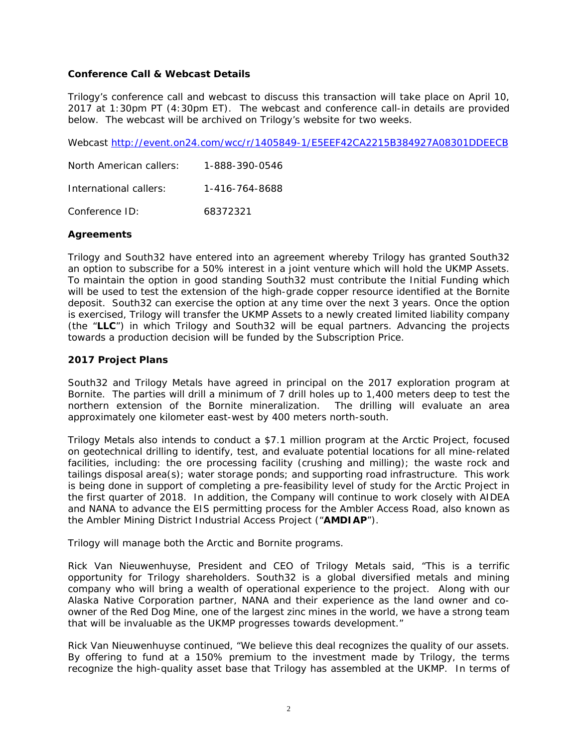#### **Conference Call & Webcast Details**

Trilogy's conference call and webcast to discuss this transaction will take place on April 10, 2017 at 1:30pm PT (4:30pm ET). The webcast and conference call-in details are provided below. The webcast will be archived on Trilogy's website for two weeks.

Webcast http://event.on24.com/wcc/r/1405849-1/E5EEF42CA2215B384927A08301DDEECB

| North American callers: | 1-888-390-0546 |
|-------------------------|----------------|
| International callers:  | 1-416-764-8688 |
| Conference ID:          | 68372321       |

## **Agreements**

Trilogy and South32 have entered into an agreement whereby Trilogy has granted South32 an option to subscribe for a 50% interest in a joint venture which will hold the UKMP Assets. To maintain the option in good standing South32 must contribute the Initial Funding which will be used to test the extension of the high-grade copper resource identified at the Bornite deposit. South32 can exercise the option at any time over the next 3 years. Once the option is exercised, Trilogy will transfer the UKMP Assets to a newly created limited liability company (the "**LLC**") in which Trilogy and South32 will be equal partners. Advancing the projects towards a production decision will be funded by the Subscription Price.

## **2017 Project Plans**

South32 and Trilogy Metals have agreed in principal on the 2017 exploration program at Bornite. The parties will drill a minimum of 7 drill holes up to 1,400 meters deep to test the northern extension of the Bornite mineralization. The drilling will evaluate an area approximately one kilometer east-west by 400 meters north-south.

Trilogy Metals also intends to conduct a \$7.1 million program at the Arctic Project, focused on geotechnical drilling to identify, test, and evaluate potential locations for all mine-related facilities, including: the ore processing facility (crushing and milling); the waste rock and tailings disposal area(s); water storage ponds; and supporting road infrastructure. This work is being done in support of completing a pre-feasibility level of study for the Arctic Project in the first quarter of 2018. In addition, the Company will continue to work closely with AIDEA and NANA to advance the EIS permitting process for the Ambler Access Road, also known as the Ambler Mining District Industrial Access Project ("**AMDIAP**").

Trilogy will manage both the Arctic and Bornite programs.

Rick Van Nieuwenhuyse, President and CEO of Trilogy Metals said, "This is a terrific opportunity for Trilogy shareholders. South32 is a global diversified metals and mining company who will bring a wealth of operational experience to the project. Along with our Alaska Native Corporation partner, NANA and their experience as the land owner and coowner of the Red Dog Mine, one of the largest zinc mines in the world, we have a strong team that will be invaluable as the UKMP progresses towards development."

Rick Van Nieuwenhuyse continued, "We believe this deal recognizes the quality of our assets. By offering to fund at a 150% premium to the investment made by Trilogy, the terms recognize the high-quality asset base that Trilogy has assembled at the UKMP. In terms of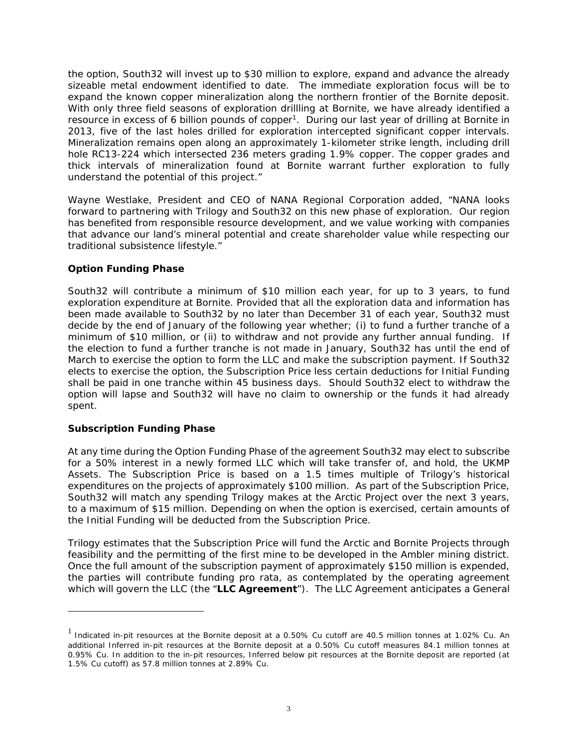the option, South32 will invest up to \$30 million to explore, expand and advance the already sizeable metal endowment identified to date. The immediate exploration focus will be to expand the known copper mineralization along the northern frontier of the Bornite deposit. With only three field seasons of exploration drillling at Bornite, we have already identified a resource in excess of 6 billion pounds of copper<sup>1</sup>. During our last year of drilling at Bornite in 2013, five of the last holes drilled for exploration intercepted significant copper intervals. Mineralization remains open along an approximately 1-kilometer strike length, including drill hole RC13-224 which intersected 236 meters grading 1.9% copper. The copper grades and thick intervals of mineralization found at Bornite warrant further exploration to fully understand the potential of this project."

Wayne Westlake, President and CEO of NANA Regional Corporation added, "NANA looks forward to partnering with Trilogy and South32 on this new phase of exploration. Our region has benefited from responsible resource development, and we value working with companies that advance our land's mineral potential and create shareholder value while respecting our traditional subsistence lifestyle."

#### **Option Funding Phase**

South32 will contribute a minimum of \$10 million each year, for up to 3 years, to fund exploration expenditure at Bornite. Provided that all the exploration data and information has been made available to South32 by no later than December 31 of each year, South32 must decide by the end of January of the following year whether; (i) to fund a further tranche of a minimum of \$10 million, or (ii) to withdraw and not provide any further annual funding. If the election to fund a further tranche is not made in January, South32 has until the end of March to exercise the option to form the LLC and make the subscription payment. If South32 elects to exercise the option, the Subscription Price less certain deductions for Initial Funding shall be paid in one tranche within 45 business days. Should South32 elect to withdraw the option will lapse and South32 will have no claim to ownership or the funds it had already spent.

## **Subscription Funding Phase**

 $\overline{a}$ 

At any time during the Option Funding Phase of the agreement South32 may elect to subscribe for a 50% interest in a newly formed LLC which will take transfer of, and hold, the UKMP Assets. The Subscription Price is based on a 1.5 times multiple of Trilogy's historical expenditures on the projects of approximately \$100 million. As part of the Subscription Price, South32 will match any spending Trilogy makes at the Arctic Project over the next 3 years, to a maximum of \$15 million. Depending on when the option is exercised, certain amounts of the Initial Funding will be deducted from the Subscription Price.

Trilogy estimates that the Subscription Price will fund the Arctic and Bornite Projects through feasibility and the permitting of the first mine to be developed in the Ambler mining district. Once the full amount of the subscription payment of approximately \$150 million is expended, the parties will contribute funding pro rata, as contemplated by the operating agreement which will govern the LLC (the "**LLC Agreement**"). The LLC Agreement anticipates a General

 $<sup>1</sup>$  Indicated in-pit resources at the Bornite deposit at a 0.50% Cu cutoff are 40.5 million tonnes at 1.02% Cu. An</sup> additional Inferred in-pit resources at the Bornite deposit at a 0.50% Cu cutoff measures 84.1 million tonnes at 0.95% Cu. In addition to the in-pit resources, Inferred below pit resources at the Bornite deposit are reported (at 1.5% Cu cutoff) as 57.8 million tonnes at 2.89% Cu.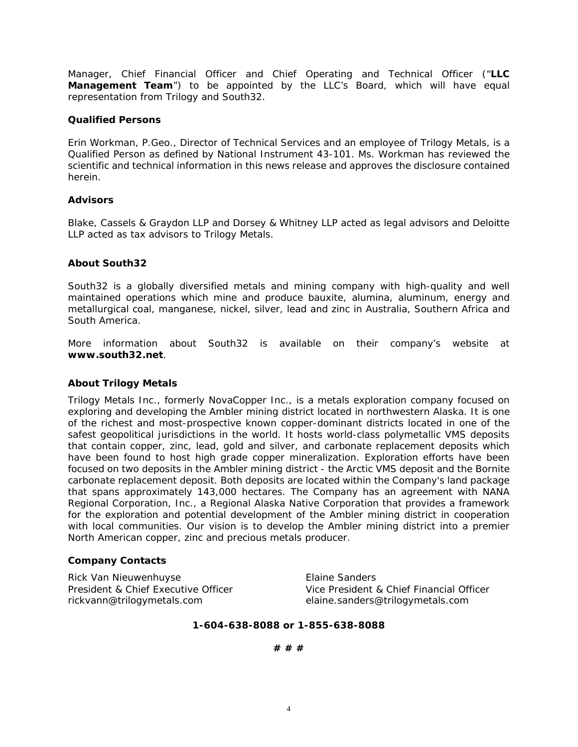Manager, Chief Financial Officer and Chief Operating and Technical Officer ("**LLC Management Team**") to be appointed by the LLC's Board, which will have equal representation from Trilogy and South32.

#### **Qualified Persons**

Erin Workman, P.Geo., Director of Technical Services and an employee of Trilogy Metals, is a Qualified Person as defined by National Instrument 43-101. Ms. Workman has reviewed the scientific and technical information in this news release and approves the disclosure contained herein.

#### **Advisors**

Blake, Cassels & Graydon LLP and Dorsey & Whitney LLP acted as legal advisors and Deloitte LLP acted as tax advisors to Trilogy Metals.

#### **About South32**

South32 is a globally diversified metals and mining company with high-quality and well maintained operations which mine and produce bauxite, alumina, aluminum, energy and metallurgical coal, manganese, nickel, silver, lead and zinc in Australia, Southern Africa and South America.

More information about South32 is available on their company's website at **www.south32.net**.

#### **About Trilogy Metals**

Trilogy Metals Inc., formerly NovaCopper Inc., is a metals exploration company focused on exploring and developing the Ambler mining district located in northwestern Alaska. It is one of the richest and most-prospective known copper-dominant districts located in one of the safest geopolitical jurisdictions in the world. It hosts world-class polymetallic VMS deposits that contain copper, zinc, lead, gold and silver, and carbonate replacement deposits which have been found to host high grade copper mineralization. Exploration efforts have been focused on two deposits in the Ambler mining district - the Arctic VMS deposit and the Bornite carbonate replacement deposit. Both deposits are located within the Company's land package that spans approximately 143,000 hectares. The Company has an agreement with NANA Regional Corporation, Inc., a Regional Alaska Native Corporation that provides a framework for the exploration and potential development of the Ambler mining district in cooperation with local communities. Our vision is to develop the Ambler mining district into a premier North American copper, zinc and precious metals producer.

#### **Company Contacts**

Rick Van Nieuwenhuyse **Elaine Sanders** rickvann@trilogymetals.com elaine.sanders@trilogymetals.com

President & Chief Executive Officer Vice President & Chief Financial Officer

#### **1-604-638-8088 or 1-855-638-8088**

**# # #**